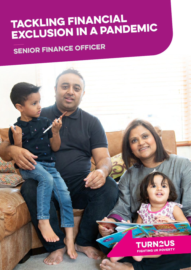# Tackling financial exclusion in a pandemic

# Senior Finance Officer

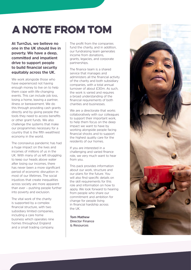# A note from TOM

**At Turn2us, we believe no one in the UK should live in poverty. We have a deep, committed and impatient drive to support people to build financial security equitably across the UK.** 

We work alongside those who have experienced not having enough money to live on to help them cope with life-changing events. This can include job loss, losing a home, leaving a partner, illness or bereavement. We do this through providing cash grants directly and by giving people the tools they need to access benefits or other grant funds. We also challenge the systems that make our programmes necessary for a country that is the fifth wealthiest economy in the world.

The coronavirus pandemic has had a huge impact on the lives and incomes of millions of us in the UK. With many of us left struggling to keep our heads above water after losing our incomes, there has never been a more significant period of economic disruption in most of our lifetimes. The social injustices that create inequalities across society are more apparent than ever – pushing people further into poverty and exclusion.

The vital work of the charity is supported by a complex financial structure, with two subsidiary limited companies, including a care home business which operates nine homes throughout England and a small trading company.

The profit from the companies fund the charity, and in addition, our fundraising team generates income from donations, grants, legacies, and corporate partnerships.

The finance team is a shared service that manages and administers all the financial activity of the charity and both subsidiary companies, with a total annual turnover of about £30m. As such, the work is varied and requires a broad understanding of the financial requirements of both charities and businesses.

We are a directorate that works collaboratively with our colleagues to support their important work, to help them focus on the deep impact we want to have by working alongside people facing financial shocks and to support the highest quality care for the residents of our homes.

If you are interested in a challenging and varied finance role, we very much want to hear from you.

This pack provides information about our work, structure and our plans for the future. You will also find specific details on the skill requirements for this role and information on how to apply. We look forward to hearing from people who share our commitment and ambition for change for people living in financial hardship across the UK.

**Tom Mathew Director Finance & Resources**

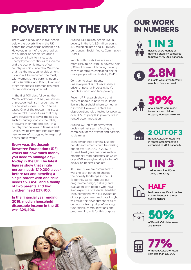# Poverty in the UK

There was already one in five people below the poverty line in the UK before the coronavirus pandemic hit. However, in light of the coronavirus, the number of people struggling to get by is likely to increase as unemployment continues to increase and the economic future of our country remains uncertain. We know that it is the most vulnerable among us who will be impacted the most, with women, single parents, people with disabilities, and Black, Asian and other minoritised communities most disproportionately affected.

In the first 100 days following the March lockdown in 2020, we saw an unprecedented rise in a demand for our services – over 500% in some cases. One of the reoccurring issues people told us about was that they were struggling to cover the basics, such as putting food on the table, or paying their rent and bills. In a country that believes in fairness and justice, we believe that isn't right that people are left struggling to keep their heads above water.

**Every year, the Joseph Rowntree Foundation (JRF) works out how much money you need to manage dayto-day in the UK. The latest figures show that single person needs £19,200 a year before tax and benefits; a single parent with one child needs £28,450, and a family of two parents and two children need £37,400.**

**In the financial year ending 2019, median household disposable income in the UK was £29,400.**

Around 14.4 million people live in poverty in the UK: 8.5 million adults, 4.5 million children and 1.3 million pensioners (Social Metrics Commission  $-SMC$ ).

People with disabilities are much more likely to be living in poverty: half (50%) of households facing poverty consist of families containing one or more people with a disability (SMC).

Contrary to assumptions, unemployment is not necessarily a driver of poverty. Increasingly, it's people in work who face poverty.

Recent JRF research shows that 60% of people in poverty in Britain live in a household where someone is in work. However, renters are disproportionately affected by poverty: over 85% of people in poverty live in rented accommodation.

Around £20bn of benefits went unclaimed last year, reflecting the complexity of the system and barriers to claiming.

Each person not claiming just one benefit entitlement could be missing out on over £2,000. In 2017/18 Trussell Trust gave over one million emergency food packages, of which over 40% were given due to 'benefit delays' or 'benefit changes'.

At Turn2us, we are committed to working with others to change the poverty landscape in the UK. To do this, we co-produce our programme design, delivery and evaluation with people who have lived expertise of financial hardship. That, combined with our evaluation of our programmes and data insight will make the development of all of our work – from policy influencing, fundraising, communications and programming – fit for this purpose.



## Our Work in numbers

1 IN 3 helpline users identify as having a disability, compared to between 15-20% nationally







compared to 20% nationally



HALF

had seen a significant decline in their finances in the last twelve months



50% of Benefit Calculator users are in work



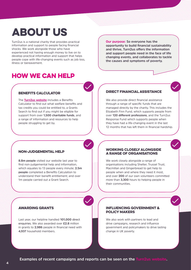## **ABOUT US**

Turn2us is a national charity that provides practical information and support to people facing financial shocks. We work alongside those who have experienced not having enough money to live on to develop practical information and support that helps people cope with life-changing events such as job loss, illness or bereavement.

## how we can help

Benefits Calculator

The **[Turn2us website](https://www.turn2us.org.uk)** includes a Benefits Calculator to find out what welfare benefits and tax credits you could be entitled to, a Grants Search to find out if you might be eligible for support from over **1,500 charitable funds**, and a range of information and resources to help people struggling to get by.

#### **Our purpose: So everyone has the opportunity to build financial sustainability and thrive, Turn2us offers the information and support people need in the face of life changing events, and collaborates to tackle the causes and symptoms of poverty.**

## direct financial assistance

We also provide direct financial assistance through a range of specific funds that are managed directly by the charity. This includes the Elizabeth Finn Fund, which supports people from over **120 different professions**, and the Turn2us Response Fund which supports people when they have had a life-changing event in the last 12 months that has left them in financial hardship.

### non-judgemental help

**8.8m people** visited our website last year to find non-judgemental help and information, which equates to 13 people every minute; **2.5m people** completed a Benefits Calculation to understand their benefit entitlement; and over 1m people carried out a Grant Search.

#### working closely alongside a range of organisations

We work closely alongside a range of organisations including Shelter, Trussel Trust, Macmillan and Gingerbread to get help to people when and where they need it most, and over **200** of our own volunteers committed more than **3,300** hours to helping people in their communities.

### AWARDING GRANTS

Last year, our helpline handled **101,000 direct enquiries.** We also awarded over **£2.8** million in grants to **2,986** people in financial need with **4,937** household members.

#### INFLUENCING GOVERNMENT & POLICY MAKERS

We also work with partners to lead and drive campaigns, research and influence government and policymakers to drive lasting change in UK poverty.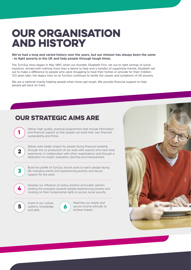## **OUR ORGANISATION** and History

**We've had a long and varied history over the years, but our mission has always been the same - to fight poverty in the UK and help people through tough times.**

The Turn2us story began in May 1897, when our founder, Elizabeth Finn, set out to right wrongs of social injustices. Armed with nothing more than a desire to help and a handful of supportive friends, Elizabeth set out to make a difference to people who were struggling to heat their homes or provide for their children. 123 years later, her legacy lives on as Turn2us continues to tackle the causes and symptoms of UK poverty.

We are a national charity helping people when times get tough. We provide financial support to help people get back on track.

## OUR STRATEGIC AIMS ARE

Deliver high-quality, practical programmes that include information and financial support so that people can build their own financial sustainability and thrive.



1

Deliver even better impact for people facing financial hardship through the co-production of our work with experts who have lived experience, in collaboration with other organisations and through a dedication to insight, evaluation, learning and improvement.



Build the profile of Turn2us and its work to reach people facing life-changing events and experiencing poverty, and secure support for the work.



Develop our influence on policy, practice and public opinion, tackling the prejudice towards people experiencing poverty and insisting on their fundamental rights to access social security.



Invest in our culture, systems, knowledge and skills.



Maximise our assets and secure income ethically to achieve impact.

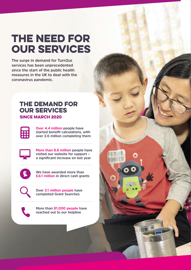## The Need For Our Services

**The surge in demand for Turn2us services has been unprecedented since the start of the public health measures in the UK to deal with the coronavirus pandemic.** 

## The Demand for our Services SINCE MARCH 2020



**Over 4.4 million people have started benefit calculations, with over 2.6 million completing them**



**More than 8.8 million people have visited our website for support – a significant increase on last year**

FUTUPE ROBOTS



**We have awarded more than £4.1 million in direct cash grants**



**Over 3.1 million people have completed Grant Searches**



**More than 81,000 people have reached out to our helpline**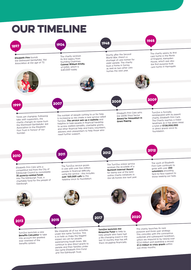

people and their families under the name Elizabeth Finn Fund and The Edinburgh Trust.

**£1.3 million in crisis grants** within just three months.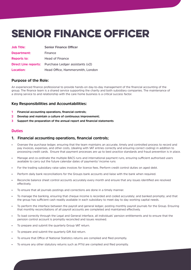# Senior FinancE Officer

| <b>Job Title:</b>  | <b>Senior Finance Officer</b>                               |
|--------------------|-------------------------------------------------------------|
| Department:        | Finance                                                     |
| <b>Reports to:</b> | Head of Finance                                             |
|                    | <b>Direct Line reports:</b> Purchase Ledger assistants (x2) |
| Location:          | Head Office, Hammersmith, London                            |

## **Purpose of the Role:**

An experienced finance professional to provide hands-on day-to-day management of the financial accounting of the group. The finance team is a shared service supporting the charity and both subsidiary companies. The maintenance of a strong service to and relationship with the care home business is a critical success factor.

## **Key Responsibilities and Accountabilities:**

- **1 Financial accounting operations, financial controls;**
- **2 Develop and maintain a culture of continuous improvement;**
- **3 Support the preparation of the annual report and financial statements**

### **Duties**

### **1. Financial accounting operations, financial controls;**

- Oversee the purchase ledger, ensuring that the team maintains an accurate, timely and controlled process to record and pay invoices, expenses, and other costs, (dealing with VAT entries correctly and ensuring correct coding) in addition to processing credit cards. Ensure that payment processes are up to best practice standards and fraud prevention is in place.
- Manage and co-ordinate the multiple BACS runs and international payment runs, ensuring sufficient authorised users available to carry out the future calendar dates of payments/ income runs
- For the trading subsidiary raise sales invoices for licence fees. Perform credit control duties on aged debt.
- Perform daily bank reconciliations for the Groups bank accounts and liaise with the bank when required.
- Reconcile balance sheet control accounts accurately every month and ensure that any issues identified are resolved effectively.
- To ensure that all journals postings and corrections are done in a timely manner.
- To manage the banking, ensuring that cheque income is recorded and coded accurately; and banked promptly; and that the group has sufficient cash readily available in each subsidiary to meet day to day working capital needs.
- To perform the interface between the payroll and general ledger, posting monthly payroll journals for the Group. Ensuring that monthly reconciliations of all payroll accounts are completed and maintained effectively.
- To load correctly through the Legal and General interface, all individuals' pension entitlements and to ensure that the pension control account is promptly reconciled and issues resolved.
- To prepare and submit the quarterly Group VAT return.
- To prepare and submit the quarterly Gift Aid return.
- To ensure that Office of National Statistics returns are complied and filed promptly.
- To ensure any other statutory returns such as P11d are compiled and filed promptly.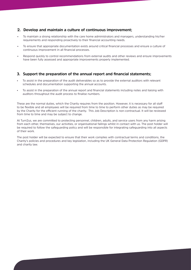### **2. Develop and maintain a culture of continuous improvement;**

- To maintain a strong relationship with the care home administrators and managers, understanding his/her requirements and responding proactively to their financial accounting needs.
- To ensure that appropriate documentation exists around critical financial processes and ensure a culture of continuous improvement in all financial processes.
- Respond quickly to control recommendations from external audits and other reviews and ensure improvements have been fully assessed and appropriate improvements properly implemented.

### **3. Support the preparation of the annual report and financial statements;**

- To assist in the preparation of the audit deliverables so as to provide the external auditors with relevant schedules and documentation supporting the annual accounts.
- To assist in the preparation of the annual report and financial statements including notes and liaising with auditors throughout the audit process to finalise numbers.

These are the normal duties, which the Charity requires from the position. However, it is necessary for all staff to be flexible and all employees will be required from time to time to perform other duties as may be required by the Charity for the efficient running of the charity. This Job Description is non-contractual. It will be reviewed from time to time and may be subject to change.

At Turn2us, we are committed to protecting personnel, children, adults, and service users from any harm arising from each other, themselves, our activities, or organisational failings whilst in contact with us. The post holder will be required to follow the safeguarding policy and will be responsible for integrating safeguarding into all aspects of their work.

The post holder will be expected to ensure that their work complies with contractual terms and conditions, the Charity's policies and procedures and key legislation, including the UK General Data Protection Regulation (GDPR) and charity law.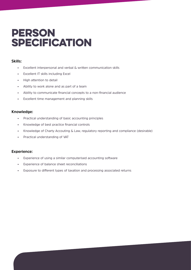## **PERSON SPECIFICATION**

## **Skills:**

- Excellent interpersonal and verbal & written communication skills
- Excellent IT skills including Excel
- High attention to detail
- Ability to work alone and as part of a team
- Ability to communicate financial concepts to a non-financial audience
- Excellent time management and planning skills

## **Knowledge:**

- Practical understanding of basic accounting principles
- Knowledge of best practice financial controls
- Knowledge of Charty Accouting & Law, regulatory reporting and compliance (desirable)
- Practical understanding of VAT

## **Experience:**

- Experience of using a similar computerised accounting software
- Experience of balance sheet reconciliations
- Exposure to different types of taxation and processing associated returns